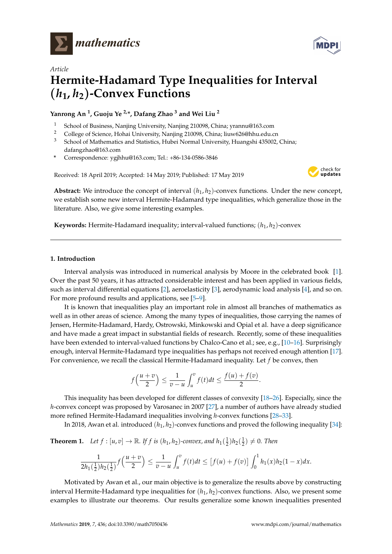



# *Article* **Hermite-Hadamard Type Inequalities for Interval** (*h***1,** *h***2**)**-Convex Functions**

# **Yanrong An <sup>1</sup> , Guoju Ye 2,\*, Dafang Zhao <sup>3</sup> and Wei Liu <sup>2</sup>**

- <sup>1</sup> School of Business, Nanjing University, Nanjing 210098, China; yrannu@163.com
- <sup>2</sup> College of Science, Hohai University, Nanjing 210098, China; liuw626@hhu.edu.cn<br><sup>3</sup> School of Mathematics and Statistics. Huboi Narmal University, Huangchi 425002
- <sup>3</sup> School of Mathematics and Statistics, Hubei Normal University, Huangshi 435002, China; dafangzhao@163.com
- **\*** Correspondence: ygjhhu@163.com; Tel.: +86-134-0586-3846

Received: 18 April 2019; Accepted: 14 May 2019; Published: 17 May 2019



**Abstract:** We introduce the concept of interval  $(h_1, h_2)$ -convex functions. Under the new concept, we establish some new interval Hermite-Hadamard type inequalities, which generalize those in the literature. Also, we give some interesting examples.

**Keywords:** Hermite-Hadamard inequality; interval-valued functions;  $(h_1, h_2)$ -convex

## **1. Introduction**

Interval analysis was introduced in numerical analysis by Moore in the celebrated book [\[1\]](#page-6-0). Over the past 50 years, it has attracted considerable interest and has been applied in various fields, such as interval differential equations [\[2\]](#page-6-1), aeroelasticity [\[3\]](#page-6-2), aerodynamic load analysis [\[4\]](#page-6-3), and so on. For more profound results and applications, see [\[5–](#page-6-4)[9\]](#page-6-5).

It is known that inequalities play an important role in almost all branches of mathematics as well as in other areas of science. Among the many types of inequalities, those carrying the names of Jensen, Hermite-Hadamard, Hardy, Ostrowski, Minkowski and Opial et al. have a deep significance and have made a great impact in substantial fields of research. Recently, some of these inequalities have been extended to interval-valued functions by Chalco-Cano et al.; see, e.g., [\[10–](#page-6-6)[16\]](#page-7-0). Surprisingly enough, interval Hermite-Hadamard type inequalities has perhaps not received enough attention [\[17\]](#page-7-1). For convenience, we recall the classical Hermite-Hadamard inequality. Let *f* be convex, then

$$
f\left(\frac{u+v}{2}\right) \leq \frac{1}{v-u} \int_u^v f(t)dt \leq \frac{f(u)+f(v)}{2}.
$$

This inequality has been developed for different classes of convexity [\[18](#page-7-2)[–26\]](#page-7-3). Especially, since the *h*-convex concept was proposed by Varosanec in 2007 [\[27\]](#page-7-4), a number of authors have already studied more refined Hermite-Hadamard inequalities involving *h*-convex functions [\[28–](#page-7-5)[33\]](#page-7-6).

In 2018, Awan et al. introduced  $(h_1, h_2)$ -convex functions and proved the following inequality [\[34\]](#page-7-7):

**Theorem 1.** Let  $f : [u, v] \to \mathbb{R}$ . If  $f$  is  $(h_1, h_2)$ -convex, and  $h_1(\frac{1}{2})h_2(\frac{1}{2}) \neq 0$ . Then

$$
\frac{1}{2h_1(\frac{1}{2})h_2(\frac{1}{2})}f\left(\frac{u+v}{2}\right) \leq \frac{1}{v-u}\int_u^v f(t)dt \leq \left[f(u)+f(v)\right]\int_0^1 h_1(x)h_2(1-x)dx.
$$

Motivated by Awan et al., our main objective is to generalize the results above by constructing interval Hermite-Hadamard type inequalities for  $(h_1, h_2)$ -convex functions. Also, we present some examples to illustrate our theorems. Our results generalize some known inequalities presented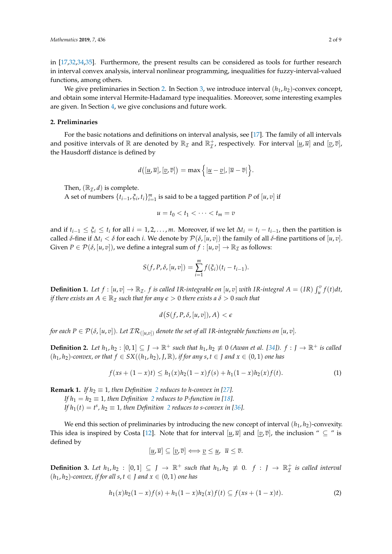in [\[17](#page-7-1)[,32,](#page-7-8)[34](#page-7-7)[,35\]](#page-7-9). Furthermore, the present results can be considered as tools for further research in interval convex analysis, interval nonlinear programming, inequalities for fuzzy-interval-valued functions, among others.

We give preliminaries in Section [2.](#page-1-0) In Section [3,](#page-2-0) we introduce interval  $(h_1, h_2)$ -convex concept, and obtain some interval Hermite-Hadamard type inequalities. Moreover, some interesting examples are given. In Section [4,](#page-6-7) we give conclusions and future work.

#### <span id="page-1-0"></span>**2. Preliminaries**

For the basic notations and definitions on interval analysis, see [\[17\]](#page-7-1). The family of all intervals and positive intervals of  $\mathbb R$  are denoted by  $\mathbb R_{\mathcal I}$  and  $\mathbb R_{\mathcal I}^+$ , respectively. For interval  $[\underline{u}, \overline{u}]$  and  $[\underline{v}, \overline{v}]$ , the Hausdorff distance is defined by

$$
d([\underline{u}, \overline{u}], [\underline{v}, \overline{v}]) = \max \Big\{ |\underline{u} - \underline{v}|, |\overline{u} - \overline{v}| \Big\}.
$$

Then,  $(\mathbb{R}_7, d)$  is complete.

A set of numbers  $\{t_{i-1}, \xi_i, t_i\}_{i=1}^m$  is said to be a tagged partition *P* of  $[u, v]$  if

$$
u=t_0
$$

and if  $t_{i-1} \leq \xi_i \leq t_i$  for all  $i = 1, 2, ..., m$ . Moreover, if we let  $\Delta t_i = t_i - t_{i-1}$ , then the partition is called *δ*-fine if ∆*t<sup>i</sup>* < *δ* for each *i*. We denote by P(*δ*, [*u*, *v*]) the family of all *δ*-fine partitions of [*u*, *v*]. Given  $P \in \mathcal{P}(\delta, [u, v])$ , we define a integral sum of  $f : [u, v] \to \mathbb{R}_{\mathcal{I}}$  as follows:

$$
S(f, P, \delta, [u, v]) = \sum_{i=1}^{m} f(\xi_i)(t_i - t_{i-1}).
$$

**Definition 1.** Let  $f:[u,v]\to\mathbb{R}_T$ .  $f$  is called IR-integrable on  $[u,v]$  with IR-integral  $A=(IR)\int_u^v f(t)dt$ , *if there exists an*  $A \in \mathbb{R}_{\mathcal{I}}$  *such that for any*  $\epsilon > 0$  *there exists a*  $\delta > 0$  *such that* 

$$
d(S(f, P, \delta, [u, v]), A) < \epsilon
$$

*for each P*  $\in$  *P*( $\delta$ , [*u*,*v*]). Let  $\mathcal{IR}_{([u,v])}$  denote the set of all IR-integrable functions on [*u*,*v*].

<span id="page-1-1"></span>**Definition 2.** Let  $h_1, h_2 : [0, 1] \subseteq J \to \mathbb{R}^+$  such that  $h_1, h_2 \not\equiv 0$  (Awan et al. [\[34\]](#page-7-7)).  $f : J \to \mathbb{R}^+$  is called  $(h_1, h_2)$ -convex, or that  $f \in SX((h_1, h_2), J, \mathbb{R})$ , if for any  $s, t \in J$  and  $x \in (0, 1)$  one has

$$
f(xs + (1 - x)t) \le h_1(x)h_2(1 - x)f(s) + h_1(1 - x)h_2(x)f(t).
$$
 (1)

**Remark 1.** *If*  $h_2 \equiv 1$  $h_2 \equiv 1$  $h_2 \equiv 1$ *, then Definition* 2 *reduces to h-convex in* [\[27\]](#page-7-4)*.* 

*If*  $h_1 = h_2 \equiv 1$  $h_1 = h_2 \equiv 1$  $h_1 = h_2 \equiv 1$ *, then Definition 2 reduces to P-function in [\[18\]](#page-7-2). If*  $h_1(t) = t^s$ ,  $h_2 \equiv 1$  $h_2 \equiv 1$  $h_2 \equiv 1$ , then Definition 2 reduces to s-convex in [\[36\]](#page-8-0).

We end this section of preliminaries by introducing the new concept of interval  $(h_1, h_2)$ -convexity. This idea is inspired by Costa [\[12\]](#page-7-10). Note that for interval  $[u,\overline{u}]$  and  $[v,\overline{v}]$ , the inclusion "  $\subseteq$  " is defined by

$$
[\underline{u}, \overline{u}] \subseteq [\underline{v}, \overline{v}] \Longleftrightarrow \underline{v} \leq \underline{u}, \ \overline{u} \leq \overline{v}.
$$

**Definition 3.** Let  $h_1, h_2 : [0,1] \subseteq J \rightarrow \mathbb{R}^+$  such that  $h_1, h_2 \not\equiv 0$ .  $f : J \rightarrow \mathbb{R}^+_L$  is called interval  $(h_1, h_2)$ -convex, if for all  $s, t \in J$  and  $x \in (0, 1)$  one has

$$
h_1(x)h_2(1-x)f(s) + h_1(1-x)h_2(x)f(t) \subseteq f(xs + (1-x)t).
$$
 (2)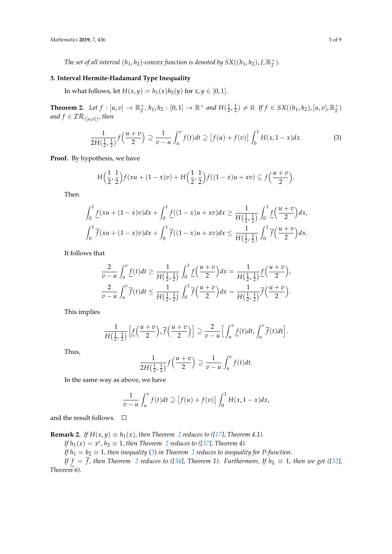*The set of all interval*  $(h_1, h_2)$ *-convex function is denoted by SX* $((h_1, h_2), J, \mathbb{R}^+_{{\cal I}})$ *.* 

### <span id="page-2-0"></span>**3. Interval Hermite-Hadamard Type Inequality**

In what follows, let  $H(x, y) = h_1(x)h_2(y)$  for  $x, y \in [0, 1]$ .

<span id="page-2-1"></span>**Theorem 2.** Let  $f : [u, v] \to \mathbb{R}_{\mathcal{I}}^{+}$ ,  $h_1, h_2 : [0, 1] \to \mathbb{R}^{+}$  and  $H(\frac{1}{2}, \frac{1}{2}) \neq 0$ . If  $f \in SX((h_1, h_2), [u, v], \mathbb{R}_{\mathcal{I}}^{+})$ *and*  $f \in \mathcal{IR}_{([u,v])}$ *, then* 

<span id="page-2-2"></span>
$$
\frac{1}{2H(\frac{1}{2},\frac{1}{2})}f\left(\frac{u+v}{2}\right) \supseteq \frac{1}{v-u}\int_{u}^{v}f(t)dt \supseteq [f(u)+f(v)]\int_{0}^{1}H(x,1-x)dx.
$$
 (3)

**Proof.** By hypothesis, we have

$$
H\Big(\frac{1}{2},\frac{1}{2}\Big)f(xu + (1-x)v) + H\Big(\frac{1}{2},\frac{1}{2}\Big)f((1-x)u + xv) \subseteq f\Big(\frac{u+v}{2}\Big).
$$

Then

$$
\int_0^1 \underline{f}(xu + (1-x)v)dx + \int_0^1 \underline{f}((1-x)u + xv)dx \ge \frac{1}{H(\frac{1}{2}, \frac{1}{2})} \int_0^1 \underline{f}(\frac{u+v}{2})dx,
$$
  

$$
\int_0^1 \overline{f}(xu + (1-x)v)dx + \int_0^1 \overline{f}((1-x)u + xv)dx \le \frac{1}{H(\frac{1}{2}, \frac{1}{2})} \int_0^1 \overline{f}(\frac{u+v}{2})dx.
$$

It follows that

$$
\frac{2}{v-u}\int_u^v \frac{f(t)}{f(t)}dt \ge \frac{1}{H(\frac{1}{2},\frac{1}{2})}\int_0^1 \frac{f(u+v)}{f(u+v)}dx = \frac{1}{H(\frac{1}{2},\frac{1}{2})}\frac{f(u+v)}{f(u+v)}.
$$
\n
$$
\frac{2}{v-u}\int_u^v \overline{f(t)}dt \le \frac{1}{H(\frac{1}{2},\frac{1}{2})}\int_0^1 \overline{f(u+v)}dx = \frac{1}{H(\frac{1}{2},\frac{1}{2})}\overline{f(u+v)}.
$$

This implies

$$
\frac{1}{H(\frac{1}{2},\frac{1}{2})}\Big[\underline{f}(\frac{u+v}{2}),\overline{f}(\frac{u+v}{2})\Big]\supseteq \frac{2}{v-u}\Big[\int_u^v \underline{f}(t)dt,\int_u^v \overline{f}(t)dt\Big].
$$

Thus,

$$
\frac{1}{2H\left(\frac{1}{2},\frac{1}{2}\right)}f\left(\frac{u+v}{2}\right) \supseteq \frac{1}{v-u}\int_u^v f(t)dt.
$$

In the same way as above, we have

$$
\frac{1}{v-u}\int_u^v f(t)dt \supseteq [f(u)+f(v)]\int_0^1 H(x,1-x)dx,
$$

and the result follows.  $\quad \Box$ 

**Remark [2](#page-2-1).** *If*  $H(x, y) \equiv h_1(x)$ *, then Theorem 2 reduces to ([\[17\]](#page-7-1), Theorem 4.1).* 

*If*  $h_1(x) = x^s$ ,  $h_2 \equiv 1$  $h_2 \equiv 1$  $h_2 \equiv 1$ , then Theorem 2 reduces to ([\[37\]](#page-8-1), Theorem 4).

*If*  $h_1 = h_2 \equiv 1$  $h_1 = h_2 \equiv 1$  $h_1 = h_2 \equiv 1$ *, then inequality* [\(3\)](#page-2-2) *in Theorem 2 reduces to inequality for P-function.* 

*If*  $f = f$ , then Theorem [2](#page-2-1) reduces to ([\[34\]](#page-7-7), Theorem 1). Furthermore, If  $h_2 \equiv 1$ , then we get ([\[32\]](#page-7-8), *Theorem 6).*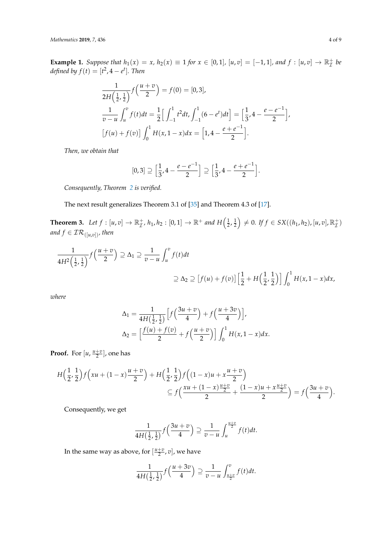*Mathematics* **2019**, *7*, 436 4 of 9

<span id="page-3-0"></span>**Example 1.** Suppose that  $h_1(x) = x$ ,  $h_2(x) \equiv 1$  for  $x \in [0, 1]$ ,  $[u, v] = [-1, 1]$ , and  $f : [u, v] \to \mathbb{R}^+_L$  be *defined by*  $f(t) = [t^2, 4 - e^t]$ *. Then* 

$$
\frac{1}{2H\left(\frac{1}{2},\frac{1}{2}\right)}f\left(\frac{u+v}{2}\right) = f(0) = [0,3],
$$
\n
$$
\frac{1}{v-u}\int_{u}^{v}f(t)dt = \frac{1}{2}\Big[\int_{-1}^{1}t^{2}dt, \int_{-1}^{1}(6-e^{t})dt\Big] = \Big[\frac{1}{3}, 4 - \frac{e-e^{-1}}{2}\Big],
$$
\n
$$
\Big[f(u) + f(v)\Big]\int_{0}^{1}H(x, 1-x)dx = \Big[1, 4 - \frac{e+e^{-1}}{2}\Big].
$$

*Then, we obtain that*

$$
[0,3] \supseteq \Big[\frac{1}{3}, 4 - \frac{e - e^{-1}}{2}\Big] \supseteq \Big[\frac{1}{3}, 4 - \frac{e + e^{-1}}{2}\Big].
$$

*Consequently, Theorem [2](#page-2-1) is verified.*

The next result generalizes Theorem 3.1 of [\[35\]](#page-7-9) and Theorem 4.3 of [\[17\]](#page-7-1).

<span id="page-3-1"></span>**Theorem 3.** Let  $f : [u, v] \to \mathbb{R}_{\mathcal{I}}^{+}$ ,  $h_1, h_2 : [0, 1] \to \mathbb{R}^{+}$  and  $H\left(\frac{1}{2}, \frac{1}{2}\right) \neq 0$ . If  $f \in SX((h_1, h_2), [u, v], \mathbb{R}_{\mathcal{I}}^{+})$ *and*  $f \in \mathcal{IR}_{([u,v])}$ *, then* 

$$
\frac{1}{4H^2\left(\frac{1}{2},\frac{1}{2}\right)}f\left(\frac{u+v}{2}\right) \supseteq \Delta_1 \supseteq \frac{1}{v-u}\int_u^v f(t)dt
$$
\n
$$
\supseteq \Delta_2 \supseteq [f(u) + f(v)]\left[\frac{1}{2} + H\left(\frac{1}{2},\frac{1}{2}\right)\right]\int_0^1 H(x,1-x)dx,
$$

*where*

$$
\Delta_1 = \frac{1}{4H\left(\frac{1}{2},\frac{1}{2}\right)} \left[ f\left(\frac{3u+v}{4}\right) + f\left(\frac{u+3v}{4}\right) \right],
$$
  

$$
\Delta_2 = \left[ \frac{f(u)+f(v)}{2} + f\left(\frac{u+v}{2}\right) \right] \int_0^1 H(x,1-x)dx.
$$

**Proof.** For  $[u, \frac{u+v}{2}]$ , one has

$$
H\left(\frac{1}{2},\frac{1}{2}\right)f\left(xu + (1-x)\frac{u+v}{2}\right) + H\left(\frac{1}{2},\frac{1}{2}\right)f\left((1-x)u + x\frac{u+v}{2}\right) \n\subseteq f\left(\frac{xu + (1-x)\frac{u+v}{2}}{2} + \frac{(1-x)u + x\frac{u+v}{2}}{2}\right) = f\left(\frac{3u+v}{4}\right).
$$

Consequently, we get

$$
\frac{1}{4H\left(\frac{1}{2},\frac{1}{2}\right)}f\left(\frac{3u+v}{4}\right) \supseteq \frac{1}{v-u}\int_{u}^{\frac{u+v}{2}}f(t)dt.
$$

In the same way as above, for  $\left[\frac{u+v}{2}, v\right]$ , we have

$$
\frac{1}{4H\left(\frac{1}{2},\frac{1}{2}\right)}f\left(\frac{u+3v}{4}\right) \supseteq \frac{1}{v-u}\int_{\frac{u+v}{2}}^{v}f(t)dt.
$$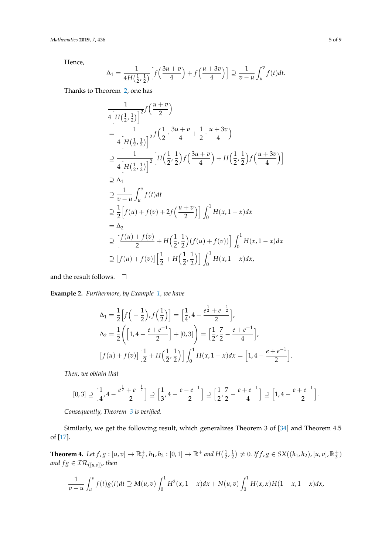Hence,

$$
\Delta_1 = \frac{1}{4H\left(\frac{1}{2},\frac{1}{2}\right)} \left[f\left(\frac{3u+v}{4}\right) + f\left(\frac{u+3v}{4}\right)\right] \supseteq \frac{1}{v-u} \int_u^v f(t)dt.
$$

Thanks to Theorem [2,](#page-2-1) one has

$$
\frac{1}{4\left[H\left(\frac{1}{2},\frac{1}{2}\right)\right]^2}f\left(\frac{u+v}{2}\right)
$$
\n
$$
=\frac{1}{4\left[H\left(\frac{1}{2},\frac{1}{2}\right)\right]^2}f\left(\frac{1}{2}\cdot\frac{3u+v}{4}+\frac{1}{2}\cdot\frac{u+3v}{4}\right)
$$
\n
$$
\supseteq \frac{1}{4\left[H\left(\frac{1}{2},\frac{1}{2}\right)\right]^2}\left[H\left(\frac{1}{2},\frac{1}{2}\right)f\left(\frac{3u+v}{4}\right)+H\left(\frac{1}{2},\frac{1}{2}\right)f\left(\frac{u+3v}{4}\right)\right]
$$
\n
$$
\supseteq \Delta_1
$$
\n
$$
\supseteq \frac{1}{v-u}\int_u^v f(t)dt
$$
\n
$$
\supseteq \frac{1}{2}\left[f(u)+f(v)+2f\left(\frac{u+v}{2}\right)\right]\int_0^1 H(x,1-x)dx
$$
\n
$$
=\Delta_2
$$
\n
$$
\supseteq \left[\frac{f(u)+f(v)}{2}+H\left(\frac{1}{2},\frac{1}{2}\right)(f(u)+f(v))\right]\int_0^1 H(x,1-x)dx
$$
\n
$$
\supseteq \left[f(u)+f(v)\right]\left[\frac{1}{2}+H\left(\frac{1}{2},\frac{1}{2}\right)\right]\int_0^1 H(x,1-x)dx,
$$

and the result follows.  $\quad \Box$ 

**Example 2.** *Furthermore, by Example [1,](#page-3-0) we have*

$$
\Delta_1 = \frac{1}{2} \Big[ f\Big( -\frac{1}{2} \Big), f\Big( \frac{1}{2} \Big) \Big] = \Big[ \frac{1}{4}, 4 - \frac{e^{\frac{1}{2}} + e^{-\frac{1}{2}}}{2} \Big],
$$
  
\n
$$
\Delta_2 = \frac{1}{2} \Big( \Big[ 1, 4 - \frac{e + e^{-1}}{2} \Big] + [0, 3] \Big) = \Big[ \frac{1}{2}, \frac{7}{2} - \frac{e + e^{-1}}{4} \Big],
$$
  
\n
$$
\Big[ f(u) + f(v) \Big] \Big[ \frac{1}{2} + H\Big( \frac{1}{2}, \frac{1}{2} \Big) \Big] \int_0^1 H(x, 1 - x) dx = \Big[ 1, 4 - \frac{e + e^{-1}}{2} \Big].
$$

*Then, we obtain that*

$$
[0,3] \supseteq \left[\frac{1}{4}, 4 - \frac{e^{\frac{1}{2}} + e^{-\frac{1}{2}}}{2}\right] \supseteq \left[\frac{1}{3}, 4 - \frac{e - e^{-1}}{2}\right] \supseteq \left[\frac{1}{2}, \frac{7}{2} - \frac{e + e^{-1}}{4}\right] \supseteq \left[1, 4 - \frac{e + e^{-1}}{2}\right].
$$

*Consequently, Theorem [3](#page-3-1) is verified.*

Similarly, we get the following result, which generalizes Theorem 3 of [\[34\]](#page-7-7) and Theorem 4.5 of [\[17\]](#page-7-1).

<span id="page-4-0"></span>**Theorem 4.** Let  $f, g : [u, v] \to \mathbb{R}_{\mathcal{I}}^+, h_1, h_2 : [0, 1] \to \mathbb{R}^+$  and  $H(\frac{1}{2}, \frac{1}{2}) \neq 0$ . If  $f, g \in SX((h_1, h_2), [u, v], \mathbb{R}_{\mathcal{I}}^+)$ *and*  $fg \in \mathcal{IR}_{([u,v])}$ *, then* 

$$
\frac{1}{v-u}\int_u^v f(t)g(t)dt \supseteq M(u,v)\int_0^1 H^2(x,1-x)dx + N(u,v)\int_0^1 H(x,x)H(1-x,1-x)dx,
$$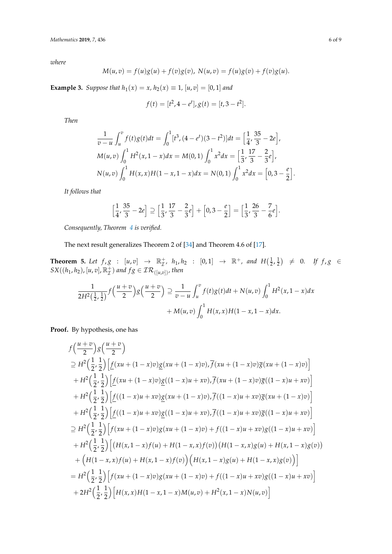*where*

$$
M(u,v) = f(u)g(u) + f(v)g(v), N(u,v) = f(u)g(v) + f(v)g(u).
$$

<span id="page-5-0"></span>**Example 3.** *Suppose that*  $h_1(x) = x$ ,  $h_2(x) \equiv 1$ ,  $[u, v] = [0, 1]$  *and* 

$$
f(t) = [t^2, 4 - e^t], g(t) = [t, 3 - t^2].
$$

*Then*

$$
\frac{1}{v-u} \int_u^v f(t)g(t)dt = \int_0^1 [t^3, (4-e^t)(3-t^2)]dt = \left[\frac{1}{4}, \frac{35}{3} - 2e\right],
$$
  
\n
$$
M(u,v) \int_0^1 H^2(x, 1-x)dx = M(0,1) \int_0^1 x^2 dx = \left[\frac{1}{3}, \frac{17}{3} - \frac{2}{3}e\right],
$$
  
\n
$$
N(u,v) \int_0^1 H(x,x)H(1-x, 1-x)dx = N(0,1) \int_0^1 x^2 dx = \left[0, 3 - \frac{e}{2}\right].
$$

*It follows that*

$$
\left[\frac{1}{4}, \frac{35}{3} - 2e\right] \supseteq \left[\frac{1}{3}, \frac{17}{3} - \frac{2}{3}e\right] + \left[0, 3 - \frac{e}{2}\right] = \left[\frac{1}{3}, \frac{26}{3} - \frac{7}{6}e\right].
$$

*Consequently, Theorem [4](#page-4-0) is verified.*

The next result generalizes Theorem 2 of [\[34\]](#page-7-7) and Theorem 4.6 of [\[17\]](#page-7-1).

<span id="page-5-1"></span>**Theorem 5.** Let  $f, g : [u, v] \rightarrow \mathbb{R}_{\mathcal{I}}^{+}$ ,  $h_1, h_2 : [0, 1] \rightarrow \mathbb{R}^{+}$ , and  $H(\frac{1}{2}, \frac{1}{2}) \neq 0$ . If  $f, g \in$  $SX((h_1,h_2),[u,v],\mathbb{R}^+_{{\mathcal{I}}})$  and  $fg\in {\mathcal{IR}}_{([u,v])}$ , then

$$
\frac{1}{2H^2(\frac{1}{2},\frac{1}{2})}f\left(\frac{u+v}{2}\right)g\left(\frac{u+v}{2}\right) \supseteq \frac{1}{v-u}\int_u^v f(t)g(t)dt + N(u,v)\int_0^1 H^2(x,1-x)dx + M(u,v)\int_0^1 H(x,x)H(1-x,1-x)dx.
$$

**Proof.** By hypothesis, one has

$$
f\left(\frac{u+v}{2}\right)g\left(\frac{u+v}{2}\right)
$$
  
\n
$$
\supseteq H^{2}\left(\frac{1}{2},\frac{1}{2}\right)\left[f(xu+(1-x)v)g(xu+(1-x)v),\overline{f}(xu+(1-x)v)\overline{g}(xu+(1-x)v)\right]
$$
  
\n
$$
+H^{2}\left(\frac{1}{2},\frac{1}{2}\right)\left[f(xu+(1-x)v)g((1-x)u+xo),\overline{f}(xu+(1-x)v)\overline{g}((1-x)u+xo)\right]
$$
  
\n
$$
+H^{2}\left(\frac{1}{2},\frac{1}{2}\right)\left[f((1-x)u+xo)g(xu+(1-x)v),\overline{f}((1-x)u+xo)\overline{g}(xu+(1-x)v)\right]
$$
  
\n
$$
+H^{2}\left(\frac{1}{2},\frac{1}{2}\right)\left[f((1-x)u+xo)g((1-x)u+xo),\overline{f}((1-x)u+xo)\overline{g}((1-x)u+xo)\right]
$$
  
\n
$$
\supseteq H^{2}\left(\frac{1}{2},\frac{1}{2}\right)\left[f(xu+(1-x)v)g(xu+(1-x)v)+f((1-x)u+xo)g((1-x)u+xo)\right]
$$
  
\n
$$
+H^{2}\left(\frac{1}{2},\frac{1}{2}\right)\left[f(xu+(1-x)f(u)+H(1-x,x)f(v)\right)\left(H(1-x,x)g(u)+H(x,1-x)g(v)\right)
$$
  
\n
$$
+\left(H(1-x,x)f(u)+H(x,1-x)f(v)\right)\left(H(x,1-x)g(u)+H(1-x,x)g(v)\right)\right]
$$
  
\n
$$
=H^{2}\left(\frac{1}{2},\frac{1}{2}\right)\left[f(xu+(1-x)v)g(xu+(1-x)v)+f((1-x)u+xo)g((1-x)u+xo)\right]
$$
  
\n
$$
+2H^{2}\left(\frac{1}{2},\frac{1}{2}\right)\left[H(x,x)H(1-x,1-x)M(u,v)+H^{2}(x,1-x)N(u,v)\right]
$$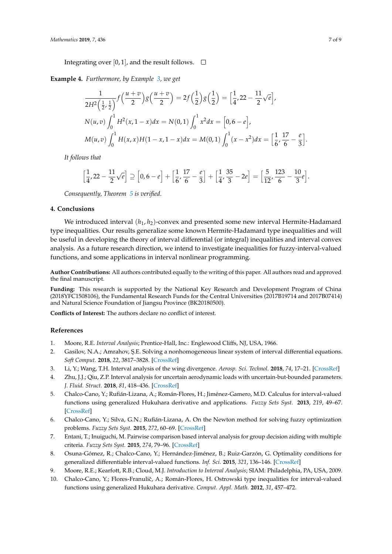Integrating over [0, 1], and the result follows.  $\Box$ 

**Example 4.** *Furthermore, by Example [3,](#page-5-0) we get*

$$
\frac{1}{2H^2\left(\frac{1}{2},\frac{1}{2}\right)}f\left(\frac{u+v}{2}\right)g\left(\frac{u+v}{2}\right) = 2f\left(\frac{1}{2}\right)g\left(\frac{1}{2}\right) = \left[\frac{1}{4},22 - \frac{11}{2}\sqrt{e}\right],
$$
\n
$$
N(u,v)\int_0^1 H^2(x,1-x)dx = N(0,1)\int_0^1 x^2dx = \left[0,6 - e\right],
$$
\n
$$
M(u,v)\int_0^1 H(x,x)H(1-x,1-x)dx = M(0,1)\int_0^1 (x-x^2)dx = \left[\frac{1}{6},\frac{17}{6}-\frac{e}{3}\right].
$$

*It follows that*

$$
\left[\frac{1}{4}, 22 - \frac{11}{2}\sqrt{e}\right] \supseteq \left[0, 6 - e\right] + \left[\frac{1}{6}, \frac{17}{6} - \frac{e}{3}\right] + \left[\frac{1}{4}, \frac{35}{3} - 2e\right] = \left[\frac{5}{12}, \frac{123}{6} - \frac{10}{3}e\right].
$$

*Consequently, Theorem [5](#page-5-1) is verified.*

#### <span id="page-6-7"></span>**4. Conclusions**

We introduced interval  $(h_1, h_2)$ -convex and presented some new interval Hermite-Hadamard type inequalities. Our results generalize some known Hermite-Hadamard type inequalities and will be useful in developing the theory of interval differential (or integral) inequalities and interval convex analysis. As a future research direction, we intend to investigate inequalities for fuzzy-interval-valued functions, and some applications in interval nonlinear programming.

**Author Contributions:** All authors contributed equally to the writing of this paper. All authors read and approved the final manuscript.

**Funding:** This research is supported by the National Key Research and Development Program of China (2018YFC1508106), the Fundamental Research Funds for the Central Universities (2017B19714 and 2017B07414) and Natural Science Foundation of Jiangsu Province (BK20180500).

**Conflicts of Interest:** The authors declare no conflict of interest.

#### **References**

- <span id="page-6-0"></span>1. Moore, R.E. *Interval Analysis*; Prentice-Hall, Inc.: Englewood Cliffs, NJ, USA, 1966.
- <span id="page-6-1"></span>2. Gasilov, N.A.; Amrahov, Ş.E. Solving a nonhomogeneous linear system of interval differential equations. *Soft Comput.* **2018**, *22*, 3817–3828. [\[CrossRef\]](http://dx.doi.org/10.1007/s00500-017-2818-x)
- <span id="page-6-2"></span>3. Li, Y.; Wang, T.H. Interval analysis of the wing divergence. *Aerosp. Sci. Technol.* **2018**, *74*, 17–21. [\[CrossRef\]](http://dx.doi.org/10.1016/j.ast.2018.01.001)
- <span id="page-6-3"></span>4. Zhu, J.J.; Qiu, Z.P. Interval analysis for uncertain aerodynamic loads with uncertain-but-bounded parameters. *J. Fluid. Struct.* **2018**, *81*, 418–436. [\[CrossRef\]](http://dx.doi.org/10.1016/j.jfluidstructs.2018.05.009)
- <span id="page-6-4"></span>5. Chalco-Cano, Y.; Rufián-Lizana, A.; Román-Flores, H.; Jiménez-Gamero, M.D. Calculus for interval-valued functions using generalized Hukuhara derivative and applications. *Fuzzy Sets Syst.* **2013**, *219*, 49–67. [\[CrossRef\]](http://dx.doi.org/10.1016/j.fss.2012.12.004)
- 6. Chalco-Cano, Y.; Silva, G.N.; Rufián-Lizana, A. On the Newton method for solving fuzzy optimization problems. *Fuzzy Sets Syst.* **2015**, *272*, 60–69. [\[CrossRef\]](http://dx.doi.org/10.1016/j.fss.2015.02.001)
- 7. Entani, T.; Inuiguchi, M. Pairwise comparison based interval analysis for group decision aiding with multiple criteria. *Fuzzy Sets Syst.* **2015**, *274*, 79–96. [\[CrossRef\]](http://dx.doi.org/10.1016/j.fss.2015.03.001)
- 8. Osuna-Gómez, R.; Chalco-Cano, Y.; Hernández-Jiménez, B.; Ruiz-Garzón, G. Optimality conditions for generalized differentiable interval-valued functions. *Inf. Sci.* **2015**, *321*, 136–146. [\[CrossRef\]](http://dx.doi.org/10.1016/j.ins.2015.05.039)
- <span id="page-6-5"></span>9. Moore, R.E.; Kearfott, R.B.; Cloud, M.J. *Introduction to Interval Analysis*; SIAM: Philadelphia, PA, USA, 2009.
- <span id="page-6-6"></span>10. Chalco-Cano, Y.; Flores-Franulič, A.; Román-Flores, H. Ostrowski type inequalities for interval-valued functions using generalized Hukuhara derivative. *Comput. Appl. Math.* **2012**, *31*, 457–472.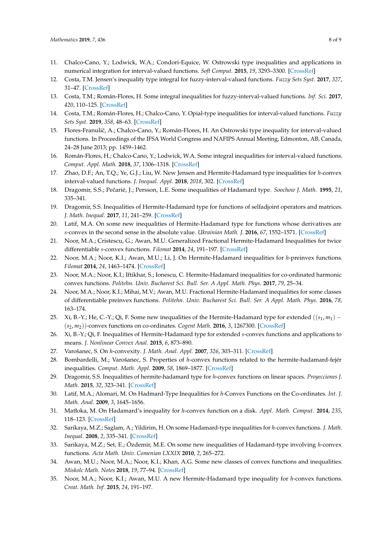- 11. Chalco-Cano, Y.; Lodwick, W.A.; Condori-Equice, W. Ostrowski type inequalities and applications in numerical integration for interval-valued functions. *Soft Comput.* **2015**, *19*, 3293–3300. [\[CrossRef\]](http://dx.doi.org/10.1007/s00500-014-1483-6)
- <span id="page-7-10"></span>12. Costa, T.M. Jensen's inequality type integral for fuzzy-interval-valued functions. *Fuzzy Sets Syst.* **2017**, *327*, 31–47. [\[CrossRef\]](http://dx.doi.org/10.1016/j.fss.2017.02.001)
- 13. Costa, T.M.; Román-Flores, H. Some integral inequalities for fuzzy-interval-valued functions. *Inf. Sci.* **2017**, *420*, 110–125. [\[CrossRef\]](http://dx.doi.org/10.1016/j.ins.2017.08.055)
- 14. Costa, T.M.; Román-Flores, H.; Chalco-Cano, Y. Opial-type inequalities for interval-valued functions. *Fuzzy Sets Syst.* **2019**, *358*, 48–63. [\[CrossRef\]](http://dx.doi.org/10.1016/j.fss.2018.04.012)
- 15. Flores-Franulič, A.; Chalco-Cano, Y.; Román-Flores, H. An Ostrowski type inequality for interval-valued functions. In Proceedings of the IFSA World Congress and NAFIPS Annual Meeting, Edmonton, AB, Canada, 24–28 June 2013; pp. 1459–1462.
- <span id="page-7-0"></span>16. Román-Flores, H.; Chalco-Cano, Y.; Lodwick, W.A. Some integral inequalities for interval-valued functions. *Comput. Appl. Math.* **2018**, *37*, 1306–1318. [\[CrossRef\]](http://dx.doi.org/10.1007/s40314-016-0396-7)
- <span id="page-7-1"></span>17. Zhao, D.F.; An, T.Q.; Ye, G.J.; Liu, W. New Jensen and Hermite-Hadamard type inequalities for *h*-convex interval-valued functions. *J. Inequal. Appl.* **2018**, *2018*, 302. [\[CrossRef\]](http://dx.doi.org/10.1186/s13660-018-1896-3)
- <span id="page-7-2"></span>18. Dragomir, S.S.; Peˇcarié, J.; Persson, L.E. Some inequalities of Hadamard type. *Soochow J. Math.* **1995**, *21*, 335–341.
- 19. Dragomir, S.S. Inequalities of Hermite-Hadamard type for functions of selfadjoint operators and matrices. *J. Math. Inequal.* **2017**, *11*, 241–259. [\[CrossRef\]](http://dx.doi.org/10.7153/jmi-11-23)
- 20. Latif, M.A. On some new inequalities of Hermite-Hadamard type for functions whose derivatives are *s*-convex in the second sense in the absolute value. *Ukrainian Math. J.* **2016**, *67*, 1552–1571. [\[CrossRef\]](http://dx.doi.org/10.1007/s11253-016-1172-y)
- 21. Noor, M.A.; Cristescu, G.; Awan, M.U. Generalized Fractional Hermite-Hadamard Inequalities for twice differentiable *s*-convex functions. *Filomat* **2014**, *24*, 191–197. [\[CrossRef\]](http://dx.doi.org/10.2298/FIL1504807N)
- 22. Noor, M.A.; Noor, K.I.; Awan, M.U.; Li, J. On Hermite-Hadamard inequalities for *h*-preinvex functions. *Filomat* **2014**, *24*, 1463–1474. [\[CrossRef\]](http://dx.doi.org/10.2298/FIL1407463N)
- 23. Noor, M.A.; Noor, K.I.; Iftikhar, S.; Ionescu, C. Hermite-Hadamard inequalities for co-ordinated harmonic convex functions. *Politehn. Univ. Bucharest Sci. Bull. Ser. A Appl. Math. Phys.* **2017**, *79*, 25–34.
- 24. Noor, M.A.; Noor, K.I.; Mihai, M.V.; Awan, M.U. Fractional Hermite-Hadamard inequalities for some classes of differentiable preinvex functions. *Politehn. Univ. Bucharest Sci. Bull. Ser. A Appl. Math. Phys.* **2016**, *78*, 163–174.
- 25. Xi, B.-Y.; He, C.-Y.; Qi, F. Some new inequalities of the Hermite-Hadamard type for extended  $((s_1,m_1)$  (*s*2, *m*2))-convex functions on co-ordinates. *Cogent Math.* **2016**, *3*, 1267300. [\[CrossRef\]](http://dx.doi.org/10.1080/23311835.2016.1267300)
- <span id="page-7-3"></span>26. Xi, B.-Y.; Qi, F. Inequalities of Hermite-Hadamard type for extended *s*-convex functions and applications to means. *J. Nonlinear Convex Anal.* **2015**, *6*, 873–890.
- <span id="page-7-4"></span>27. Varošanec, S. On *h*-convexity. *J. Math. Anal. Appl.* **2007**, *326*, 303–311. [\[CrossRef\]](http://dx.doi.org/10.1016/j.jmaa.2006.02.086)
- <span id="page-7-5"></span>28. Bombardelli, M.; Varošanec, S. Properties of h-convex functions related to the hermite-hadamard-fejér inequalities. *Comput. Math. Appl.* **2009**, *58*, 1869–1877. [\[CrossRef\]](http://dx.doi.org/10.1016/j.camwa.2009.07.073)
- 29. Dragomir, S.S. Inequalities of hermite-hadamard type for *h*-convex functions on linear spaces. *Proyecciones J. Math.* **2015**, *32*, 323–341. [\[CrossRef\]](http://dx.doi.org/10.4067/S0716-09172015000400002)
- 30. Latif, M.A.; Alomari, M. On Hadmard-Type Inequalities for *h*-Convex Functions on the Co-ordinates. *Int. J. Math. Anal.* **2009**, *3*, 1645–1656.
- 31. Matłoka, M. On Hadamard's inequality for *h*-convex function on a disk. *Appl. Math. Comput.* **2014**, *235*, 118–123. [\[CrossRef\]](http://dx.doi.org/10.1016/j.amc.2014.02.085)
- <span id="page-7-8"></span>32. Sarikaya, M.Z.; Saglam, A.; Yildirim, H. On some Hadamard-type inequalities for *h*-convex functions. *J. Math. Inequal.* **2008**, *2*, 335–341. [\[CrossRef\]](http://dx.doi.org/10.7153/jmi-02-30)
- <span id="page-7-6"></span>33. Sarikaya, M.Z.; Set, E.; Özdemir, M.E. On some new inequalities of Hadamard-type involving *h*-convex functions. *Acta Math. Univ. Comenian LXXIX* **2010**, *2*, 265–272.
- <span id="page-7-7"></span>34. Awan, M.U.; Noor, M.A.; Noor, K.I.; Khan, A.G. Some new classes of convex functions and inequalities. *Miskolc Math. Notes* **2018**, *19*, 77–94. [\[CrossRef\]](http://dx.doi.org/10.18514/MMN.2018.2179)
- <span id="page-7-9"></span>35. Noor, M.A.; Noor, K.I.; Awan, M.U. A new Hermite-Hadamard type inequality for *h*-convex functions. *Creat. Math. Inf.* **2015**, *24*, 191–197.